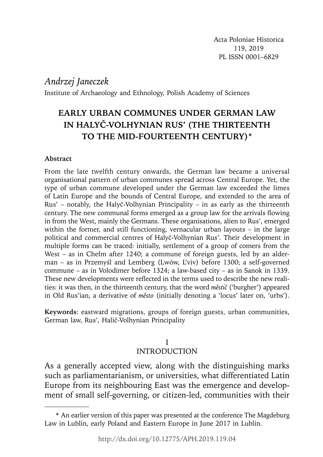# *Andrzej Janeczek*

Institute of Archaeology and Ethnology, Polish Academy of Sciences

# **EARLY URBAN COMMUNES UNDER GERMAN LAW IN HALYČ-VOLHYNIAN RUS' (THE THIRTEENTH TO THE MID-FOURTEENTH CENTURY)\***

### **Abstract**

From the late twelfth century onwards, the German law became a universal organisational pattern of urban communes spread across Central Europe. Yet, the type of urban commune developed under the German law exceeded the limes of Latin Europe and the bounds of Central Europe, and extended to the area of Rus' – notably, the Halyč-Volhynian Principality – in as early as the thirteenth century. The new communal forms emerged as a group law for the arrivals flowing in from the West, mainly the Germans. These organisations, alien to Rus', emerged within the former, and still functioning, vernacular urban layouts – in the large political and commercial centres of Halyč-Volhynian Rus'. Their development in multiple forms can be traced: initially, settlement of a group of comers from the West – as in Chełm after 1240; a commune of foreign guests, led by an alderman – as in Przemyśl and Lemberg (Lwów, L'viv) before 1300; a self-governed commune – as in Volodimer before 1324; a law-based city – as in Sanok in 1339. These new developments were reflected in the terms used to describe the new realities: it was then, in the thirteenth century, that the word *městič* ('burgher') appeared in Old Rus'ian, a derivative of *město* (initially denoting a 'locus' later on, 'urbs').

**Keywords**: eastward migrations, groups of foreign guests, urban communities, German law, Rus', Halič-Volhynian Principality

### I INTRODUCTION

ment of small self-governing, or citizen-led, communities with their As a generally accepted view, along with the distinguishing marks such as parliamentarianism, or universities, what differentiated Latin Europe from its neighbouring East was the emergence and develop-

<sup>\*</sup> An earlier version of this paper was presented at the conference The Magdeburg Law in Lublin, early Poland and Eastern Europe in June 2017 in Lublin.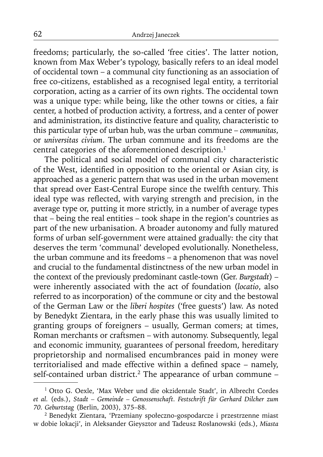freedoms; particularly, the so-called 'free cities'. The latter notion, known from Max Weber's typology, basically refers to an ideal model of occidental town – a communal city functioning as an association of free co-citizens, established as a recognised legal entity, a territorial corporation, acting as a carrier of its own rights. The occidental town was a unique type: while being, like the other towns or cities, a fair center, a hotbed of production activity, a fortress, and a center of power and administration, its distinctive feature and quality, characteristic to this particular type of urban hub, was the urban commune – *communitas*, or *universitas civium*. The urban commune and its freedoms are the central categories of the aforementioned description.<sup>1</sup>

The political and social model of communal city characteristic of the West, identified in opposition to the oriental or Asian city, is approached as a generic pattern that was used in the urban movement that spread over East-Central Europe since the twelfth century. This ideal type was reflected, with varying strength and precision, in the average type or, putting it more strictly, in a number of average types that – being the real entities – took shape in the region's countries as part of the new urbanisation. A broader autonomy and fully matured forms of urban self-government were attained gradually: the city that deserves the term 'communal' developed evolutionally. Nonetheless, the urban commune and its freedoms – a phenomenon that was novel and crucial to the fundamental distinctness of the new urban model in the context of the previously predominant castle-town (Ger. *Burgstadt*) – were inherently associated with the act of foundation (*locatio*, also referred to as incorporation) of the commune or city and the bestowal of the German Law or the *liberi hospites* ('free guests') law. As noted by Benedykt Zientara, in the early phase this was usually limited to granting groups of foreigners – usually, German comers; at times, Roman merchants or craftsmen – with autonomy. Subsequently, legal and economic immunity, guarantees of personal freedom, hereditary proprietorship and normalised encumbrances paid in money were territorialised and made effective within a defined space – namely, self-contained urban district.<sup>2</sup> The appearance of urban commune -

<sup>1</sup> Otto G. Oexle, 'Max Weber und die okzidentale Stadt', in Albrecht Cordes *et al.* (eds.), *Stadt – Gemeinde – Genossenschaft. Festschrift für Gerhard Dilcher zum 70. Geburtstag* (Berlin, 2003), 375–88.

<sup>2</sup> Benedykt Zientara, 'Przemiany społeczno-gospodarcze i przestrzenne miast w dobie lokacji', in Aleksander Gieysztor and Tadeusz Rosłanowski (eds.), *Miasta*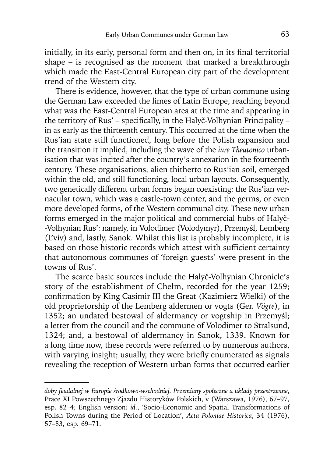initially, in its early, personal form and then on, in its final territorial shape – is recognised as the moment that marked a breakthrough which made the East-Central European city part of the development trend of the Western city.

There is evidence, however, that the type of urban commune using the German Law exceeded the limes of Latin Europe, reaching beyond what was the East-Central European area at the time and appearing in the territory of Rus' – specifically, in the Halyč-Volhynian Principality – in as early as the thirteenth century. This occurred at the time when the Rus'ian state still functioned, long before the Polish expansion and the transition it implied, including the wave of the *iure Theutonico* urbanisation that was incited after the country's annexation in the fourteenth century. These organisations, alien thitherto to Rus'ian soil, emerged within the old, and still functioning, local urban layouts. Consequently, two genetically different urban forms began coexisting: the Rus'ian vernacular town, which was a castle-town center, and the germs, or even more developed forms, of the Western communal city. These new urban forms emerged in the major political and commercial hubs of Halyč- -Volhynian Rus': namely, in Volodimer (Volodymyr), Przemyśl, Lemberg (L'viv) and, lastly, Sanok. Whilst this list is probably incomplete, it is based on those historic records which attest with sufficient certainty that autonomous communes of 'foreign guests' were present in the towns of Rus'.

The scarce basic sources include the Halyč-Volhynian Chronicle's story of the establishment of Chełm, recorded for the year 1259; confirmation by King Casimir III the Great (Kazimierz Wielki) of the old proprietorship of the Lemberg aldermen or vogts (Ger. *Vögte*), in 1352; an undated bestowal of aldermancy or vogtship in Przemyśl; a letter from the council and the commune of Volodimer to Stralsund, 1324; and, a bestowal of aldermancy in Sanok, 1339. Known for a long time now, these records were referred to by numerous authors, with varying insight; usually, they were briefly enumerated as signals revealing the reception of Western urban forms that occurred earlier

*doby feudalnej w Europie środkowo-wschodniej. Przemiany społeczne a układy przestrzenne*, Prace XI Powszechnego Zjazdu Historyków Polskich, v (Warszawa, 1976), 67–97, esp. 82–4; English version: *id.*, 'Socio-Economic and Spatial Transformations of Polish Towns during the Period of Location', *Acta Poloniae Historica*, 34 (1976), 57–83, esp. 69–71.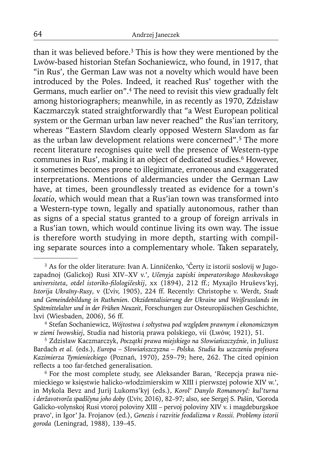than it was believed before.<sup>3</sup> This is how they were mentioned by the Lwów-based historian Stefan Sochaniewicz, who found, in 1917, that "in Rus', the German Law was not a novelty which would have been introduced by the Poles. Indeed, it reached Rus' together with the Germans, much earlier on".<sup>4</sup> The need to revisit this view gradually felt among historiographers; meanwhile, in as recently as 1970, Zdzisław Kaczmarczyk stated straightforwardly that "a West European political system or the German urban law never reached" the Rus'ian territory, whereas "Eastern Slavdom clearly opposed Western Slavdom as far as the urban law development relations were concerned".5 The more recent literature recognises quite well the presence of Western-type communes in Rus', making it an object of dedicated studies.<sup>6</sup> However, it sometimes becomes prone to illegitimate, erroneous and exaggerated interpretations. Mentions of aldermancies under the German Law have, at times, been groundlessly treated as evidence for a town's *locatio*, which would mean that a Rus'ian town was transformed into a Western-type town, legally and spatially autonomous, rather than as signs of a special status granted to a group of foreign arrivals in a Rus'ian town, which would continue living its own way. The issue is therefore worth studying in more depth, starting with compiling separate sources into a complementary whole. Taken separately,

<sup>3</sup> As for the older literature: Ivan A. Linničenko, 'Čerty iz istorii soslovij w Jugozapadnoj (Galickoj) Rusi XIV–XV v.', *Učenyja zapiski imperatorskogo Moskovskogo universiteta*, *otdel istoriko-fi lologičeskij*, xx (1894), 212 ff.; Myxajlo Hruševs'kyj, *Istorija Ukraïny-Rusy*, v (L'viv, 1905), 224 ff. Recently: Christophe v. Werdt, *Stadt und Gemeindebildung in Ruthenien. Okzidentalisierung der Ukraine und Weißrusslands im Spätmittelalter und in der Frühen Neuzeit*, Forschungen zur Osteuropäischen Geschichte, lxvi (Wiesbaden, 2006), 56 ff.

<sup>4</sup> Stefan Sochaniewicz, *Wójtostwa i sołtystwa pod względem prawnym i ekonomicznym w ziemi lwowskiej*, Studia nad historią prawa polskiego, vii (Lwów, 1921), 51.

<sup>5</sup> Zdzisław Kaczmarczyk, *Początki prawa miejskiego na Słowiańszczyźnie*, in Juliusz Bardach *et al.* (eds.), *Europa – Słowiańszczyzna – Polska. Studia ku uczczeniu profesora Kazimierza Tymienieckiego* (Poznań, 1970), 259–79; here, 262. The cited opinion reflects a too far-fetched generalisation.

<sup>6</sup> For the most complete study, see Aleksander Baran, 'Recepcja prawa niemieckiego w księstwie halicko-włodzimierskim w XIII i pierwszej połowie XIV w.', in Mykola Bevz and Jurij Lukoms'kyj (eds.), *Korol' Danylo Romanovyč: kul'turna i deržavotvorča spadščyna joho doby* (L'viv, 2016), 82–97; also, see Sergej S. Pašin, 'Goroda Galicko-volynskoj Rusi vtoroj poloviny XIII – pervoj poloviny XIV v. i magdeburgskoe pravo', in Igor' Ja. Frojanov (ed.), *Genezis i razvitie feodalizma v Rossii. Problemy istorii goroda* (Leningrad, 1988), 139–45.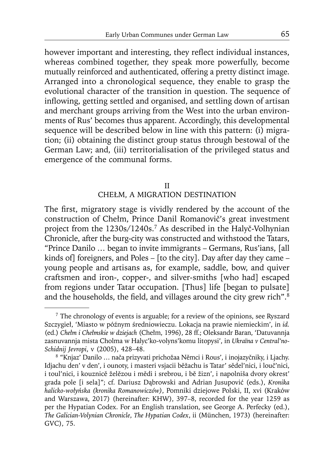however important and interesting, they reflect individual instances, whereas combined together, they speak more powerfully, become mutually reinforced and authenticated, offering a pretty distinct image. Arranged into a chronological sequence, they enable to grasp the evolutional character of the transition in question. The sequence of inflowing, getting settled and organised, and settling down of artisan and merchant groups arriving from the West into the urban environments of Rus' becomes thus apparent. Accordingly, this developmental sequence will be described below in line with this pattern: (i) migration; (ii) obtaining the distinct group status through bestowal of the German Law; and, (iii) territorialisation of the privileged status and emergence of the communal forms.

### II

### CHEŁM, A MIGRATION DESTINATION

The first, migratory stage is vividly rendered by the account of the construction of Chełm, Prince Danil Romanovič's great investment project from the 1230s/1240s.7 As described in the Halyč-Volhynian Chronicle, after the burg-city was constructed and withstood the Tatars, "Prince Danilo … began to invite immigrants – Germans, Rus'ians, [all kinds of] foreigners, and Poles – [to the city]. Day after day they came – young people and artisans as, for example, saddle, bow, and quiver craftsmen and iron-, copper-, and silver-smiths [who had] escaped from regions under Tatar occupation. [Thus] life [began to pulsate] and the households, the field, and villages around the city grew rich".<sup>8</sup>

<sup>&</sup>lt;sup>7</sup> The chronology of events is arguable; for a review of the opinions, see Ryszard Szczygieł, 'Miasto w późnym średniowieczu. Lokacja na prawie niemieckim', in *id.* (ed.) *Chełm i Chełmskie w dziejach* (Chełm, 1996), 28 ff.; Oleksandr Baran, 'Datuvannja zasnuvannja mista Cholma w Halyc'ko-volyns'komu litopysi', in *Ukraïna v Central'no-Schidnij Jevropi*, v (2005), 428–48.

<sup>8 &</sup>quot;Knjaz' Danilo … nača prizyvati prichožaa Němci i Rous', i inojazyčniky, i Ljachy. Idjachu den' v den', i ounoty, i masteri vsjacii běžachu is Tatar' sědel'nici, i louč'nici, i toul'nici, i kouznicě želězou i mědi i srebrou, i bě žizn', i napolniša dvory okrest' grada pole [i sela]"; cf. Dariusz Dąbrowski and Adrian Jusupović (eds.), *Kronika halicko-wołyńska (kronika Romanowiczów)*, Pomniki dziejowe Polski, II, xvi (Kraków and Warszawa, 2017) (hereinafter: KHW), 397–8, recorded for the year 1259 as per the Hypatian Codex. For an English translation, see George A. Perfecky (ed.), *The Galician-Volynian Chronicle*, *The Hypatian Codex*, ii (München, 1973) (hereinafter: GVC), 75.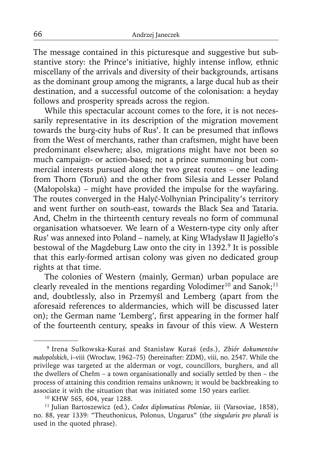The message contained in this picturesque and suggestive but substantive story: the Prince's initiative, highly intense inflow, ethnic miscellany of the arrivals and diversity of their backgrounds, artisans as the dominant group among the migrants, a large ducal hub as their destination, and a successful outcome of the colonisation: a heyday follows and prosperity spreads across the region.

While this spectacular account comes to the fore, it is not necessarily representative in its description of the migration movement towards the burg-city hubs of Rus'. It can be presumed that inflows from the West of merchants, rather than craftsmen, might have been predominant elsewhere; also, migrations might have not been so much campaign- or action-based; not a prince summoning but commercial interests pursued along the two great routes – one leading from Thorn (Toruń) and the other from Silesia and Lesser Poland (Małopolska) – might have provided the impulse for the wayfaring. The routes converged in the Halyč-Volhynian Principality's territory and went further on south-east, towards the Black Sea and Tataria. And, Chełm in the thirteenth century reveals no form of communal organisation whatsoever. We learn of a Western-type city only after Rus' was annexed into Poland – namely, at King Władysław II Jagiełło's bestowal of the Magdeburg Law onto the city in 1392.<sup>9</sup> It is possible that this early-formed artisan colony was given no dedicated group rights at that time.

The colonies of Western (mainly, German) urban populace are clearly revealed in the mentions regarding Volodimer<sup>10</sup> and Sanok;<sup>11</sup> and, doubtlessly, also in Przemyśl and Lemberg (apart from the aforesaid references to aldermancies, which will be discussed later on); the German name 'Lemberg', first appearing in the former half of the fourteenth century, speaks in favour of this view. A Western

<sup>9</sup> Irena Sułkowska-Kuraś and Stanisław Kuraś (eds.), *Zbiór dokumentów małopolskich*, i–viii (Wrocław, 1962–75) (hereinafter: ZDM), viii, no. 2547. While the privilege was targeted at the alderman or vogt, councillors, burghers, and all the dwellers of Chełm – a town organisationally and socially settled by then – the process of attaining this condition remains unknown; it would be backbreaking to associate it with the situation that was initiated some 150 years earlier.

<sup>10</sup> KHW 565, 604, year 1288.

<sup>11</sup> Julian Bartoszewicz (ed.), *Codex diplomaticus Poloniae*, iii (Varsoviae, 1858), no. 88, year 1339: "Theuthonicus, Polonus, Ungarus" (the *singularis pro plurali* is used in the quoted phrase).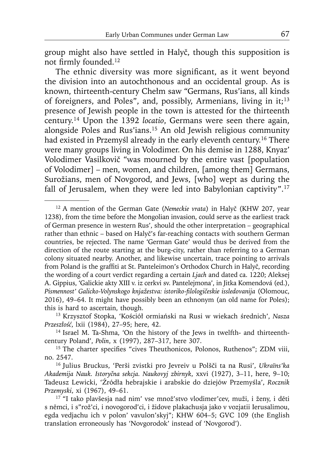group might also have settled in Halyč, though this supposition is not firmly founded.<sup>12</sup>

The ethnic diversity was more significant, as it went beyond the division into an autochthonous and an occidental group. As is known, thirteenth-century Chełm saw "Germans, Rus'ians, all kinds of foreigners, and Poles", and, possibly, Armenians, living in it;<sup>13</sup> presence of Jewish people in the town is attested for the thirteenth century.14 Upon the 1392 *locatio*, Germans were seen there again, alongside Poles and Rus'ians.15 An old Jewish religious community had existed in Przemyśl already in the early eleventh century.<sup>16</sup> There were many groups living in Volodimer. On his demise in 1288, Knyaz' Volodimer Vasilkovič "was mourned by the entire vast [population of Volodimer] – men, women, and children, [among them] Germans, Surožians, men of Novgorod, and Jews, [who] wept as during the fall of Jerusalem, when they were led into Babylonian captivity".<sup>17</sup>

<sup>12</sup> A mention of the German Gate (*Nemeckie vrata*) in Halyč (KHW 207, year 1238), from the time before the Mongolian invasion, could serve as the earliest track of German presence in western Rus', should the other interpretation – geographical rather than ethnic – based on Halyč's far-reaching contacts with southern German countries, be rejected. The name 'German Gate' would thus be derived from the direction of the route starting at the burg-city, rather than referring to a German colony situated nearby. Another, and likewise uncertain, trace pointing to arrivals from Poland is the graffiti at St. Panteleimon's Orthodox Church in Halyč, recording the wording of a court verdict regarding a certain *Ljach* and dated ca. 1220; Aleksej A. Gippius, 'Galickie akty XIII v. iz cerkvi sv. Pantelejmona', in Jitka Komendová (ed.), *Pismennost' Galicko-Volynskogo knjažestva: istoriko-fi lologičeskie issledovanija* (Olomouc, 2016), 49–64. It might have possibly been an ethnonym (an old name for Poles); this is hard to ascertain, though.

<sup>13</sup> Krzysztof Stopka, 'Kościół ormiański na Rusi w wiekach średnich', *Nasza Przeszłość*, lxii (1984), 27–95; here, 42.

<sup>14</sup> Israel M. Ta-Shma, 'On the history of the Jews in twelfth- and thirteenthcentury Poland', *Polin*, x (1997), 287–317, here 307.

<sup>&</sup>lt;sup>15</sup> The charter specifies "cives Theuthonicos, Polonos, Ruthenos"; ZDM viii, no. 2547.

<sup>16</sup> Julius Bruckus, 'Perši zvistki pro Jevreiv u Polšči ta na Rusi', *Ukraïns'ka Akademija Nauk. Istoryčna sekcja. Naukovyj zbirnyk*, xxvi (1927), 3–11, here, 9–10; Tadeusz Lewicki, 'Źródła hebrajskie i arabskie do dziejów Przemyśla', *Rocznik Przemyski*, xi (1967), 49–61.

<sup>17 &</sup>quot;I tako plavšesja nad nim' vse množ'stvo vlodimer'cev, muži, i ženy, i dĕti s nĕmci, i s"rož'ci, i novogorod'ci, i židove plakachusja jako v vozjatii Ierusalimou, egda vedjachu ich v polon' vavulon'skyj"; KHW 604–5; GVC 109 (the English translation erroneously has 'Novgorodok' instead of 'Novgorod').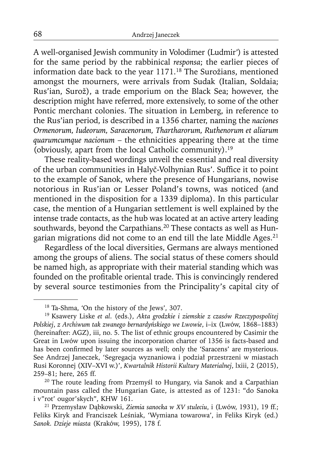A well-organised Jewish community in Volodimer (Ludmir*'*) is attested for the same period by the rabbinical *responsa*; the earlier pieces of information date back to the year 1171.18 The Surožians, mentioned amongst the mourners, were arrivals from Sudak (Italian, Soldaia; Rus'ian, Surož), a trade emporium on the Black Sea; however, the description might have referred, more extensively, to some of the other Pontic merchant colonies. The situation in Lemberg, in reference to the Rus'ian period, is described in a 1356 charter, naming the *naciones Ormenorum, Iudeorum, Saracenorum, Thartharorum, Ruthenorum et aliarum quarumcumque nacionum* – the ethnicities appearing there at the time (obviously, apart from the local Catholic community).19

These reality-based wordings unveil the essential and real diversity of the urban communities in Halyč-Volhynian Rus'. Suffice it to point to the example of Sanok, where the presence of Hungarians, nowise notorious in Rus'ian or Lesser Poland's towns, was noticed (and mentioned in the disposition for a 1339 diploma). In this particular case, the mention of a Hungarian settlement is well explained by the intense trade contacts, as the hub was located at an active artery leading southwards, beyond the Carpathians.<sup>20</sup> These contacts as well as Hungarian migrations did not come to an end till the late Middle Ages.<sup>21</sup>

Regardless of the local diversities, Germans are always mentioned among the groups of aliens. The social status of these comers should be named high, as appropriate with their material standing which was founded on the profitable oriental trade. This is convincingly rendered by several source testimonies from the Principality's capital city of

<sup>18</sup> Ta-Shma, 'On the history of the Jews', 307.

<sup>19</sup> Ksawery Liske *et al*. (eds.), *Akta grodzkie i ziemskie z czasów Rzeczypospolitej Polskiej*, *z Archiwum tak zwanego bernardyńskiego we Lwowie*, i–ix (Lwów, 1868–1883) (hereinafter: AGZ), iii, no. 5. The list of ethnic groups encountered by Casimir the Great in Lwów upon issuing the incorporation charter of 1356 is facts-based and has been confirmed by later sources as well; only the 'Saracens' are mysterious. See Andrzej Janeczek, 'Segregacja wyznaniowa i podział przestrzeni w miastach Rusi Koronnej (XIV–XVI w.)', *Kwartalnik Historii Kultury Materialnej*, lxiii, 2 (2015), 259–81; here, 265 ff.

<sup>&</sup>lt;sup>20</sup> The route leading from Przemyśl to Hungary, via Sanok and a Carpathian mountain pass called the Hungarian Gate, is attested as of 1231: "do Sanoka i v"rot' ougor'skych", KHW 161.

<sup>21</sup> Przemysław Dąbkowski, *Ziemia sanocka w XV stuleciu*, i (Lwów, 1931), 19 ff.; Feliks Kiryk and Franciszek Leśniak, 'Wymiana towarowa', in Feliks Kiryk (ed.) *Sanok. Dzieje miasta* (Kraków, 1995), 178 f.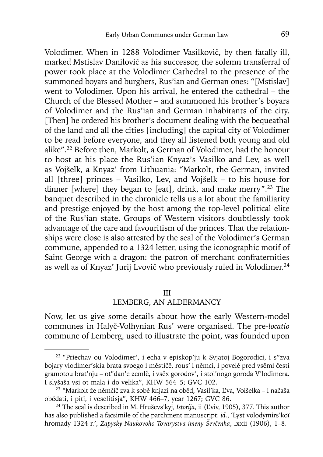Volodimer. When in 1288 Volodimer Vasilkovič, by then fatally ill, marked Mstislav Danilovič as his successor, the solemn transferral of power took place at the Volodimer Cathedral to the presence of the summoned boyars and burghers, Rus'ian and German ones: "[Mstislav] went to Volodimer. Upon his arrival, he entered the cathedral – the Church of the Blessed Mother – and summoned his brother's boyars of Volodimer and the Rus'ian and German inhabitants of the city. [Then] he ordered his brother's document dealing with the bequeathal of the land and all the cities [including] the capital city of Volodimer to be read before everyone, and they all listened both young and old alike".22 Before then, Markolt, a German of Volodimer, had the honour to host at his place the Rus'ian Knyaz's Vasilko and Lev, as well as Vojšelk, a Knyaz' from Lithuania: "Markolt, the German, invited all [three] princes – Vasilko, Lev, and Vojšelk – to his house for dinner [where] they began to [eat], drink, and make merry".23 The banquet described in the chronicle tells us a lot about the familiarity and prestige enjoyed by the host among the top-level political elite of the Rus'ian state. Groups of Western visitors doubtlessly took advantage of the care and favouritism of the princes. That the relationships were close is also attested by the seal of the Volodimer's German commune, appended to a 1324 letter, using the iconographic motif of Saint George with a dragon: the patron of merchant confraternities as well as of Knyaz' Jurij Lvovič who previously ruled in Volodimer.24

#### III

### LEMBERG, AN ALDERMANCY

Now, let us give some details about how the early Western-model communes in Halyč-Volhynian Rus' were organised. The pre-*locatio* commune of Lemberg, used to illustrate the point, was founded upon

<sup>22 &</sup>quot;Priechav ou Volodimer', i echa v episkop'ju k Svjatoj Bogorodici, i s"zva bojary vlodimer'skia brata svoego i mĕstičĕ, rous' i nĕmci, i povelĕ pred vsĕmi česti gramotou brat'nju – ot"dan'e zemlĕ, i vsĕx gorodov', i stol'nogo goroda V'lodimera. I slyšaša vsi ot mala i do velika", KHW 564–5; GVC 102.

<sup>23 &</sup>quot;Markolt že němčič zva k sobě knjazi na oběd, Vasil'ka, L'va, Voišelka – i načaša obědati, i piti, i veselitisja", KHW 466–7, year 1267; GVC 86.

<sup>24</sup> The seal is described in M. Hruševs'kyj, *Istorija*, ii (L'viv, 1905), 377. This author has also published a facsimile of the parchment manuscript: *id.*, 'Lyst volodymirs'koï hromady 1324 r.', *Zapysky Naukovoho Tovarystva imeny Ševčenka*, lxxii (1906), 1–8.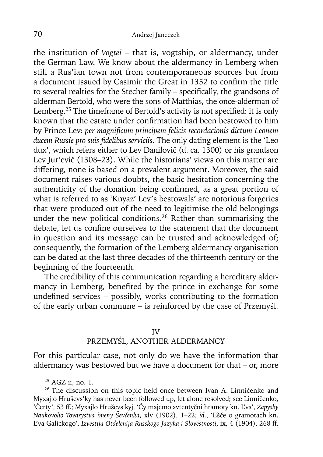the institution of *Vogtei* – that is, vogtship, or aldermancy, under the German Law. We know about the aldermancy in Lemberg when still a Rus'ian town not from contemporaneous sources but from a document issued by Casimir the Great in 1352 to confirm the title to several realties for the Stecher family - specifically, the grandsons of alderman Bertold, who were the sons of Matthias, the once-alderman of Lemberg.<sup>25</sup> The timeframe of Bertold's activity is not specified: it is only known that the estate under confirmation had been bestowed to him by Prince Lev: *per magnificum principem felicis recordacionis dictum Leonem* ducem Russie pro suis fidelibus serviciis. The only dating element is the 'Leo dux', which refers either to Lev Danilovič (d. ca. 1300) or his grandson Lev Jur'evič (1308–23). While the historians' views on this matter are differing, none is based on a prevalent argument. Moreover, the said document raises various doubts, the basic hesitation concerning the authenticity of the donation being confirmed, as a great portion of what is referred to as 'Knyaz' Lev's bestowals' are notorious forgeries that were produced out of the need to legitimise the old belongings under the new political conditions.<sup>26</sup> Rather than summarising the debate, let us confine ourselves to the statement that the document in question and its message can be trusted and acknowledged of; consequently, the formation of the Lemberg aldermancy organisation can be dated at the last three decades of the thirteenth century or the beginning of the fourteenth.

The credibility of this communication regarding a hereditary aldermancy in Lemberg, benefited by the prince in exchange for some undefined services - possibly, works contributing to the formation of the early urban commune – is reinforced by the case of Przemyśl.

#### IV

# PRZEMYŚL, ANOTHER ALDERMANCY

For this particular case, not only do we have the information that aldermancy was bestowed but we have a document for that – or, more

<sup>25</sup> AGZ ii, no. 1.

<sup>&</sup>lt;sup>26</sup> The discussion on this topic held once between Ivan A. Linničenko and Myxajlo Hruševs'ky has never been followed up, let alone resolved; see Linničenko, 'Čerty', 53 ff.; Myxajlo Hruševs'kyj, 'Čy majemo avtentyčni hramoty kn. L'va', *Zapysky Naukovoho Tovarystva imeny Ševčenka*, xlv (1902), 1–22; *id.*, 'Ešče o gramotach kn. L'va Galickogo', *Izvestija Otdelenija Russkogo Jazyka i Slovestnosti*, ix, 4 (1904), 268 ff.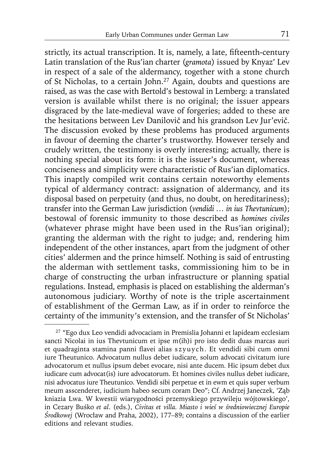strictly, its actual transcription. It is, namely, a late, fifteenth-century Latin translation of the Rus'ian charter (*gramota*) issued by Knyaz' Lev in respect of a sale of the aldermancy, together with a stone church of St Nicholas, to a certain John.27 Again, doubts and questions are raised, as was the case with Bertold's bestowal in Lemberg: a translated version is available whilst there is no original; the issuer appears disgraced by the late-medieval wave of forgeries; added to these are the hesitations between Lev Danilovič and his grandson Lev Jur'evič. The discussion evoked by these problems has produced arguments in favour of deeming the charter's trustworthy. However tersely and crudely written, the testimony is overly interesting; actually, there is nothing special about its form: it is the issuer's document, whereas conciseness and simplicity were characteristic of Rus'ian diplomatics. This inaptly compiled writ contains certain noteworthy elements typical of aldermancy contract: assignation of aldermancy, and its disposal based on perpetuity (and thus, no doubt, on hereditariness); transfer into the German Law jurisdiction (*vendidi … in ius Thevtunicum*); bestowal of forensic immunity to those described as *homines civiles* (whatever phrase might have been used in the Rus'ian original); granting the alderman with the right to judge; and, rendering him independent of the other instances, apart from the judgment of other cities' aldermen and the prince himself. Nothing is said of entrusting the alderman with settlement tasks, commissioning him to be in charge of constructing the urban infrastructure or planning spatial regulations. Instead, emphasis is placed on establishing the alderman's autonomous judiciary. Worthy of note is the triple ascertainment of establishment of the German Law, as if in order to reinforce the certainty of the immunity's extension, and the transfer of St Nicholas'

<sup>27 &</sup>quot;Ego dux Leo vendidi advocaciam in Premislia Johanni et lapideam ecclesiam sancti Nicolai in ius Thevtunicum et ipse m(ih)i pro isto dedit duas marcas auri et quadraginta stamina panni flavei alias szyuych. Et vendidi sibi cum omni iure Theutunico. Advocatum nullus debet iudicare, solum advocati civitatum iure advocatorum et nullus ipsum debet evocare, nisi ante ducem. Hic ipsum debet dux iudicare cum advocat(is) iure advocatorum. Et homines civiles nullus debet iudicare, nisi advocatus iure Theutunico. Vendidi sibi perpetue et in ewm et quis super verbum meum asscenderet, iudicium habeo secum coram Deo"; Cf. Andrzej Janeczek, 'Ząb kniazia Lwa. W kwestii wiarygodności przemyskiego przywileju wójtowskiego', in Cezary Buśko *et al*. (eds.), *Civitas et villa. Miasto i wieś w średniowiecznej Europie Środkowej* (Wrocław and Praha, 2002), 177–89; contains a discussion of the earlier editions and relevant studies.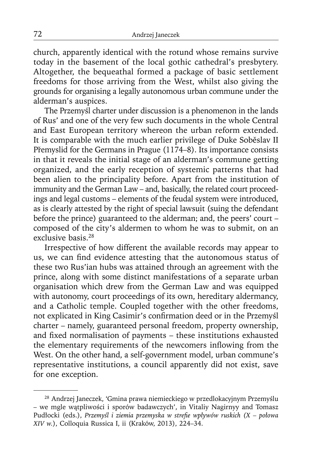church, apparently identical with the rotund whose remains survive today in the basement of the local gothic cathedral's presbytery. Altogether, the bequeathal formed a package of basic settlement freedoms for those arriving from the West, whilst also giving the grounds for organising a legally autonomous urban commune under the alderman's auspices.

The Przemyśl charter under discussion is a phenomenon in the lands of Rus' and one of the very few such documents in the whole Central and East European territory whereon the urban reform extended. It is comparable with the much earlier privilege of Duke Soběslav II Přemyslid for the Germans in Prague (1174–8). Its importance consists in that it reveals the initial stage of an alderman's commune getting organized, and the early reception of systemic patterns that had been alien to the principality before. Apart from the institution of immunity and the German Law – and, basically, the related court proceedings and legal customs – elements of the feudal system were introduced, as is clearly attested by the right of special lawsuit (suing the defendant before the prince) guaranteed to the alderman; and, the peers' court – composed of the city's aldermen to whom he was to submit, on an exclusive basis.<sup>28</sup>

Irrespective of how different the available records may appear to us, we can find evidence attesting that the autonomous status of these two Rus'ian hubs was attained through an agreement with the prince, along with some distinct manifestations of a separate urban organisation which drew from the German Law and was equipped with autonomy, court proceedings of its own, hereditary aldermancy, and a Catholic temple. Coupled together with the other freedoms, not explicated in King Casimir's confirmation deed or in the Przemyśl charter – namely, guaranteed personal freedom, property ownership, and fixed normalisation of payments - these institutions exhausted the elementary requirements of the newcomers inflowing from the West. On the other hand, a self-government model, urban commune's representative institutions, a council apparently did not exist, save for one exception.

<sup>28</sup> Andrzej Janeczek, 'Gmina prawa niemieckiego w przedlokacyjnym Przemyślu – we mgle wątpliwości i sporów badawczych', in Vitaliy Nagirnyy and Tomasz Pudłocki (eds.), Przemyśl i ziemia przemyska w strefie wpływów ruskich (X – połowa *XIV w.*), Colloquia Russica I, ii (Kraków, 2013), 224–34.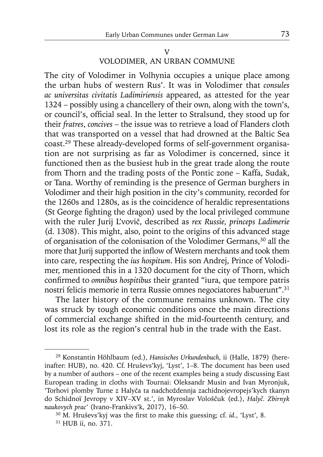VOLODIMER, AN URBAN COMMUNE

The city of Volodimer in Volhynia occupies a unique place among the urban hubs of western Rus'. It was in Volodimer that *consules ac universitas civitatis Ladimiriensis* appeared, as attested for the year 1324 – possibly using a chancellery of their own, along with the town's, or council's, official seal. In the letter to Stralsund, they stood up for their *fratres*, *concives* – the issue was to retrieve a load of Flanders cloth that was transported on a vessel that had drowned at the Baltic Sea coast.29 These already-developed forms of self-government organisation are not surprising as far as Volodimer is concerned, since it functioned then as the busiest hub in the great trade along the route from Thorn and the trading posts of the Pontic zone – Kaffa, Sudak, or Tana. Worthy of reminding is the presence of German burghers in Volodimer and their high position in the city's community, recorded for the 1260s and 1280s, as is the coincidence of heraldic representations (St George fighting the dragon) used by the local privileged commune with the ruler Jurij L'vovič, described as *rex Russie, princeps Ladimerie* (d. 1308). This might, also, point to the origins of this advanced stage of organisation of the colonisation of the Volodimer Germans,30 all the more that Jurij supported the inflow of Western merchants and took them into care, respecting the *ius hospitum*. His son Andrej, Prince of Volodimer, mentioned this in a 1320 document for the city of Thorn, which confirmed to *omnibus hospitibus* their granted "iura, que tempore patris" nostri felicis memorie in terra Russie omnes negociatores habuerunt".31

The later history of the commune remains unknown. The city was struck by tough economic conditions once the main directions of commercial exchange shifted in the mid-fourteenth century, and lost its role as the region's central hub in the trade with the East.

<sup>29</sup> Konstantin Höhlbaum (ed.), *Hansisches Urkundenbuch*, ii (Halle, 1879) (hereinafter: HUB), no. 420. Cf. Hruševs'kyj, 'Lyst', 1–8. The document has been used by a number of authors – one of the recent examples being a study discussing East European trading in cloths with Tournai: Oleksandr Musin and Ivan Myronjuk, 'Torhovi plomby Turne z Halyča ta nadchoždennja zachidnojevropejs'kych tkanyn do Schidnoï Jevropy v XIV–XV st.', in Myroslav Vološčuk (ed.), *Halyč. Zbirnyk naukovych prac'* (Ivano-Frankivs'k, 2017), 16–50.

<sup>&</sup>lt;sup>30</sup> M. Hruševs'kyj was the first to make this guessing; cf. *id.*, 'Lyst', 8.

<sup>31</sup> HUB ii, no. 371.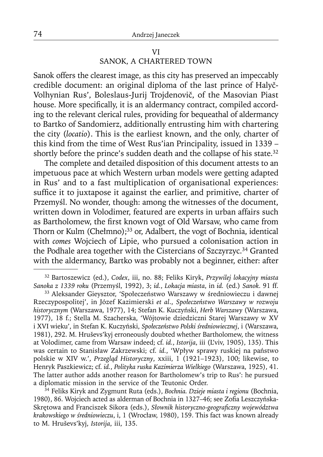### VI SANOK, A CHARTERED TOWN

Sanok offers the clearest image, as this city has preserved an impeccably credible document: an original diploma of the last prince of Halyč-Volhynian Rus', Boleslaus-Jurij Trojdenovič, of the Masovian Piast house. More specifically, it is an aldermancy contract, compiled according to the relevant clerical rules, providing for bequeathal of aldermancy to Bartko of Sandomierz, additionally entrusting him with chartering the city (*locatio*). This is the earliest known, and the only, charter of this kind from the time of West Rus'ian Principality, issued in 1339 – shortly before the prince's sudden death and the collapse of his state.<sup>32</sup>

The complete and detailed disposition of this document attests to an impetuous pace at which Western urban models were getting adapted in Rus' and to a fast multiplication of organisational experiences: suffice it to juxtapose it against the earlier, and primitive, charter of Przemyśl. No wonder, though: among the witnesses of the document, written down in Volodimer, featured are experts in urban affairs such as Bartholomew, the first known vogt of Old Warsaw, who came from Thorn or Kulm (Chełmno);<sup>33</sup> or, Adalbert, the vogt of Bochnia, identical with *comes* Wojciech of Lipie, who pursued a colonisation action in the Podhale area together with the Cistercians of Szczyrzyc.<sup>34</sup> Granted with the aldermancy, Bartko was probably not a beginner, either: after

34 Feliks Kiryk and Zygmunt Ruta (eds.), *Bochnia. Dzieje miasta i regionu* (Bochnia, 1980), 86. Wojciech acted as alderman of Bochnia in 1327-46; see Zofia Leszczyńska-Skrętowa and Franciszek Sikora (eds.), *Słownik historyczno-geograficzny województwa krakowskiego w średniowieczu*, i, 1 (Wrocław, 1980), 159. This fact was known already to M. Hruševs'kyj, *Istorija*, iii, 135.

<sup>32</sup> Bartoszewicz (ed.), *Codex*, iii, no. 88; Feliks Kiryk, *Przywilej lokacyjny miasta Sanoka z 1339 roku* (Przemyśl, 1992), 3; *id.*, *Lokacja miasta*, in *id.* (ed.) *Sanok.* 91 ff.

<sup>33</sup> Aleksander Gieysztor, 'Społeczeństwo Warszawy w średniowieczu i dawnej Rzeczypospolitej', in Józef Kazimierski *et al*., *Społeczeństwo Warszawy w rozwoju historycznym* (Warszawa, 1977), 14; Stefan K. Kuczyński, *Herb Warszawy* (Warszawa, 1977), 18 f.; Stella M. Szacherska, 'Wójtowie dziedziczni Starej Warszawy w XV i XVI wieku', in Stefan K. Kuczyński, *Społeczeństwo Polski średniowiecznej*, i (Warszawa, 1981), 292. M. Hruševs'kyj erroneously doubted whether Bartholomew, the witness at Volodimer, came from Warsaw indeed; cf. *id.*, *Istorija*, iii (L'viv, 1905), 135). This was certain to Stanisław Zakrzewski; cf. *id.*, 'Wpływ sprawy ruskiej na państwo polskie w XIV w.', *Przegląd Historyczny*, xxiii, 1 (1921–1923), 100; likewise, to Henryk Paszkiewicz; cf. *id.*, *Polityka ruska Kazimierza Wielkiego* (Warszawa, 1925), 41. The latter author adds another reason for Bartholomew's trip to Rus': he pursued a diplomatic mission in the service of the Teutonic Order.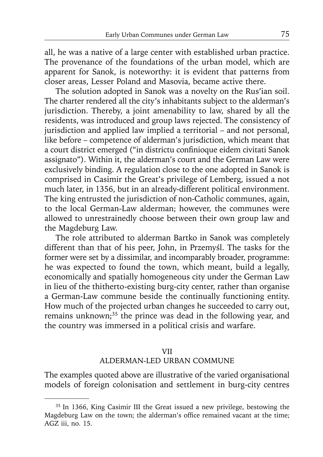all, he was a native of a large center with established urban practice. The provenance of the foundations of the urban model, which are apparent for Sanok, is noteworthy: it is evident that patterns from closer areas, Lesser Poland and Masovia, became active there.

The solution adopted in Sanok was a novelty on the Rus'ian soil. The charter rendered all the city's inhabitants subject to the alderman's jurisdiction. Thereby, a joint amenability to law, shared by all the residents, was introduced and group laws rejected. The consistency of jurisdiction and applied law implied a territorial – and not personal, like before – competence of alderman's jurisdiction, which meant that a court district emerged ("in districtu confinioque eidem civitati Sanok assignato"). Within it, the alderman's court and the German Law were exclusively binding. A regulation close to the one adopted in Sanok is comprised in Casimir the Great's privilege of Lemberg, issued a not much later, in 1356, but in an already-different political environment. The king entrusted the jurisdiction of non-Catholic communes, again, to the local German-Law alderman; however, the communes were allowed to unrestrainedly choose between their own group law and the Magdeburg Law.

The role attributed to alderman Bartko in Sanok was completely different than that of his peer, John, in Przemyśl. The tasks for the former were set by a dissimilar, and incomparably broader, programme: he was expected to found the town, which meant, build a legally, economically and spatially homogeneous city under the German Law in lieu of the thitherto-existing burg-city center, rather than organise a German-Law commune beside the continually functioning entity. How much of the projected urban changes he succeeded to carry out, remains unknown;<sup>35</sup> the prince was dead in the following year, and the country was immersed in a political crisis and warfare.

### VII ALDERMAN-LED URBAN COMMUNE

The examples quoted above are illustrative of the varied organisational models of foreign colonisation and settlement in burg-city centres

<sup>35</sup> In 1366, King Casimir III the Great issued a new privilege, bestowing the Magdeburg Law on the town; the alderman's office remained vacant at the time; AGZ iii, no. 15.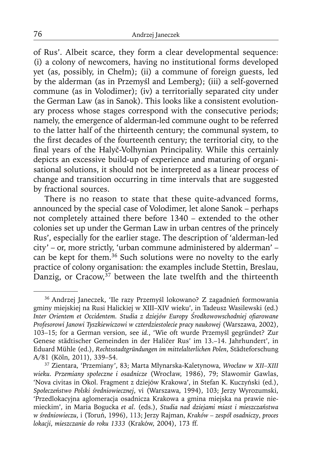of Rus'. Albeit scarce, they form a clear developmental sequence: (i) a colony of newcomers, having no institutional forms developed yet (as, possibly, in Chełm); (ii) a commune of foreign guests, led by the alderman (as in Przemyśl and Lemberg); (iii) a self-governed commune (as in Volodimer); (iv) a territorially separated city under the German Law (as in Sanok). This looks like a consistent evolutionary process whose stages correspond with the consecutive periods; namely, the emergence of alderman-led commune ought to be referred to the latter half of the thirteenth century; the communal system, to the first decades of the fourteenth century; the territorial city, to the final years of the Halyč-Volhynian Principality. While this certainly depicts an excessive build-up of experience and maturing of organisational solutions, it should not be interpreted as a linear process of change and transition occurring in time intervals that are suggested by fractional sources.

There is no reason to state that these quite-advanced forms, announced by the special case of Volodimer, let alone Sanok – perhaps not completely attained there before 1340 – extended to the other colonies set up under the German Law in urban centres of the princely Rus', especially for the earlier stage. The description of 'alderman-led city' – or, more strictly, 'urban commune administered by alderman' – can be kept for them.36 Such solutions were no novelty to the early practice of colony organisation: the examples include Stettin, Breslau, Danzig, or Cracow,  $37$  between the late twelfth and the thirteenth

<sup>36</sup> Andrzej Janeczek, 'Ile razy Przemyśl lokowano? Z zagadnień formowania gminy miejskiej na Rusi Halickiej w XIII–XIV wieku', in Tadeusz Wasilewski (ed.) *Inter Orientem et Occidentem. Studia z dziejów Europy Środkowowschodniej ofi arowane Profesorowi Janowi Tyszkiewiczowi w czterdziestolecie pracy naukowej* (Warszawa, 2002), 103–15; for a German version, see *id.*, 'Wie oft wurde Przemyśl gegründet? Zur Genese städtischer Gemeinden in der Haličer Rus' im 13.–14. Jahrhundert', in Eduard Mühle (ed.), *Rechtsstadtgründungen im mittelalterlichen Polen*, Städteforschung A/81 (Köln, 2011), 339–54.

<sup>37</sup> Zientara, 'Przemiany', 83; Marta Młynarska-Kaletynowa, *Wrocław w XII–XIII wieku. Przemiany społeczne i osadnicze* (Wrocław, 1986), 79; Sławomir Gawlas, 'Nova civitas in Okol. Fragment z dziejów Krakowa', in Stefan K. Kuczyński (ed.), *Społeczeństwo Polski średniowiecznej*, vi (Warszawa, 1994), 103; Jerzy Wyrozumski, 'Przedlokacyjna aglomeracja osadnicza Krakowa a gmina miejska na prawie niemieckim', in Maria Bogucka *et al*. (eds.), *Studia nad dziejami miast i mieszczaństwa w średniowieczu*, i (Toruń, 1996), 113; Jerzy Rajman, *Kraków – zespół osadniczy*, *proces lokacji*, *mieszczanie do roku 1333* (Kraków, 2004), 173 ff.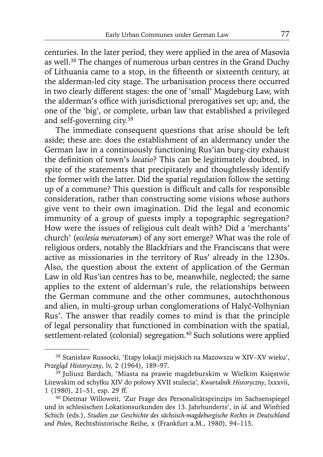centuries. In the later period, they were applied in the area of Masovia as well.38 The changes of numerous urban centres in the Grand Duchy of Lithuania came to a stop, in the fifteenth or sixteenth century, at the alderman-led city stage. The urbanisation process there occurred in two clearly different stages: the one of 'small' Magdeburg Law, with the alderman's office with jurisdictional prerogatives set up; and, the one of the 'big', or complete, urban law that established a privileged and self-governing city.39

The immediate consequent questions that arise should be left aside; these are: does the establishment of an aldermancy under the German law in a continuously functioning Rus'ian burg-city exhaust the definition of town's *locatio*? This can be legitimately doubted, in spite of the statements that precipitately and thoughtlessly identify the former with the latter. Did the spatial regulation follow the setting up of a commune? This question is difficult and calls for responsible consideration, rather than constructing some visions whose authors give vent to their own imagination. Did the legal and economic immunity of a group of guests imply a topographic segregation? How were the issues of religious cult dealt with? Did a 'merchants' church' (*ecclesia mercatorum*) of any sort emerge? What was the role of religious orders, notably the Blackfriars and the Franciscans that were active as missionaries in the territory of Rus' already in the 1230s. Also, the question about the extent of application of the German Law in old Rus'ian centres has to be, meanwhile, neglected; the same applies to the extent of alderman's rule, the relationships between the German commune and the other communes, autochthonous and alien, in multi-group urban conglomerations of Halyč-Volhynian Rus'. The answer that readily comes to mind is that the principle of legal personality that functioned in combination with the spatial, settlement-related (colonial) segregation.<sup>40</sup> Such solutions were applied

<sup>38</sup> Stanisław Russocki, 'Etapy lokacji miejskich na Mazowszu w XIV–XV wieku', *Przegląd Historyczny*, lv, 2 (1964), 189–97.

<sup>&</sup>lt;sup>39</sup> Juliusz Bardach, 'Miasta na prawie magdeburskim w Wielkim Księstwie Litewskim od schyłku XIV do połowy XVII stulecia', *Kwartalnik Historyczny*, lxxxvii, 1 (1980), 21–51, esp. 29 ff.

<sup>40</sup> Dietmar Willoweit, 'Zur Frage des Personalitätsprinzips im Sachsenspiegel und in schlesischen Lokationsurkunden des 13. Jahrhunderts', in *id.* and Winfried Schich (eds.), *Studien zur Geschichte des sächsisch-magdeburgische Rechts in Deutschland und Polen*, Rechtshistorische Reihe, x (Frankfurt a.M., 1980), 94–115.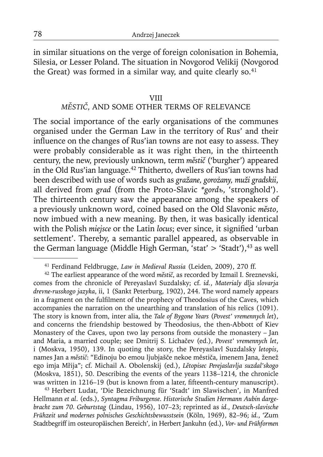in similar situations on the verge of foreign colonisation in Bohemia, Silesia, or Lesser Poland. The situation in Novgorod Velikij (Novgorod the Great) was formed in a similar way, and quite clearly so. $41$ 

#### VIII

# *MĚSTIČ*, AND SOME OTHER TERMS OF RELEVANCE

The social importance of the early organisations of the communes organised under the German Law in the territory of Rus' and their influence on the changes of Rus'ian towns are not easy to assess. They were probably considerable as it was right then, in the thirteenth century, the new, previously unknown, term *městič* ('burgher') appeared in the Old Rus'ian language.42 Thitherto, dwellers of Rus'ian towns had been described with use of words such as *gražane, gorożany, muži gradskii*, all derived from *grad* (from the Proto-Slavic *\*gordъ*, 'stronghold'). The thirteenth century saw the appearance among the speakers of a previously unknown word, coined based on the Old Slavonic *město*, now imbued with a new meaning. By then, it was basically identical with the Polish *miejsce* or the Latin *locus*; ever since, it signified 'urban settlement'. Thereby, a semantic parallel appeared, as observable in the German language (Middle High German, 'stat'  $>$  'Stadt'),<sup>43</sup> as well

43 Herbert Ludat, 'Die Bezeichnung für 'Stadt' im Slawischen', in Manfred Hellmann *et al*. (eds.), *Syntagma Friburgense. Historische Studien Hermann Aubin dargebracht zum 70. Geburtstag* (Lindau, 1956), 107–23; reprinted as *id.*, *Deutsch-slavische Frühzeit und modernes polnisches Geschichtsbewusstsein* (Köln, 1969), 82–96; *id.*, 'Zum Stadtbegriff im osteuropäischen Bereich', in Herbert Jankuhn (ed.), *Vor- und Frühformen* 

<sup>41</sup> Ferdinand Feldbrugge, *Law in Medieval Russia* (Leiden, 2009), 270 ff.

<sup>42</sup> The earliest appearance of the word *městič*, as recorded by Izmail I. Sreznevski, comes from the chronicle of Pereyaslavl Suzdalsky; cf. *id.*, *Materialy dlja slovarja drevne-russkogo jazyka*, ii, 1 (Sankt Peterburg, 1902), 244. The word namely appears in a fragment on the fulfilment of the prophecy of Theodosius of the Caves, which accompanies the narration on the unearthing and translation of his relics (1091). The story is known from, inter alia, the *Tale of Bygone Years* (*Povest' vremennych let*), and concerns the friendship bestowed by Theodosius, the then-Abbott of Kiev Monastery of the Caves, upon two lay persons from outside the monastery – Jan and Maria, a married couple; see Dmitrij S. Lichačev (ed.), *Povest' vremennych let*, i (Moskva, 1950), 139. In quoting the story, the Pereyaslavl Suzdalsky *letopis*, names Jan a *městič*: "Edinoju bo emou ljubjašče nekoe městiča, imenem Jana, ženež ego imja Mr̃ija"; cf. Michail A. Obolenskij (ed.), *Lětopisec Perejaslavlja suzdal'skogo* (Moskva, 1851), 50. Describing the events of the years 1138–1214, the chronicle was written in 1216-19 (but is known from a later, fifteenth-century manuscript).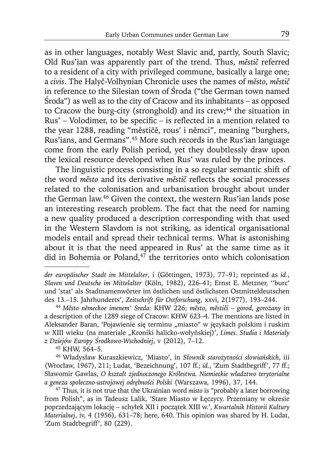as in other languages, notably West Slavic and, partly, South Slavic; Old Rus'ian was apparently part of the trend. Thus, *městič* referred to a resident of a city with privileged commune, basically a large one; a *civis*. The Halyč-Volhynian Chronicle uses the names of *město*, *městič* in reference to the Silesian town of Środa ("the German town named Środa") as well as to the city of Cracow and its inhabitants – as opposed to Cracow the burg-city (stronghold) and its crew;<sup>44</sup> the situation in Rus' – Volodimer, to be specific – is reflected in a mention related to the year 1288, reading "mĕstičĕ, rous' i nĕmci", meaning "burghers, Rus'ians, and Germans".45 More such records in the Rus'ian language come from the early Polish period, yet they doubtlessly draw upon the lexical resource developed when Rus' was ruled by the princes.

The linguistic process consisting in a so regular semantic shift of the word *město* and its derivative *městič* refl ects the social processes related to the colonisation and urbanisation brought about under the German law.46 Given the context, the western Rus'ian lands pose an interesting research problem. The fact that the need for naming a new quality produced a description corresponding with that used in the Western Slavdom is not striking, as identical organisational models entail and spread their technical terms. What is astonishing about it is that the need appeared in Rus' at the same time as it did in Bohemia or Poland, $47$  the territories onto which colonisation

46 Władysław Kuraszkiewicz, 'Miasto', in *Słownik starożytności słowiańskich*, iii (Wrocław, 1967), 211; Ludat, 'Bezeichnung', 107 ff.; *id.*, 'Zum Stadtbegriff', 77 ff.; Sławomir Gawlas, *O kształt zjednoczonego Królestwa. Niemieckie władztwo terytorialne a geneza społeczno-ustrojowej odrębności Polski* (Warszawa, 1996), 37, 144.

*der europäischer Stadt im Mittelalter*, i (Göttingen, 1973), 77–91; reprinted as *id.*, *Slaven und Deutsche im Mittelalter* (Köln, 1982), 226–41; Ernst E. Metzner, ''burc' und 'stat' als Stadtnamenwörter im östlichen und östlichsten Ostmitteldeutschen des 13.–15. Jahrhunderts', *Zeitschrift für Ostforschung*, xxvi, 2(1977), 193–244.

<sup>44</sup>*Mĕsto nĕmeckoe imenem' Sreda*: KHW 226; *mĕsto*, *mĕstiči* – *gorod*, *gorożany* in a description of the 1289 siege of Cracow: KHW 623–4. The mentions are listed in Aleksander Baran, 'Pojawienie się terminu "miasto" w językach polskim i ruskim w XIII wieku (na materiale "Kroniki halicko-wołyńskiej)', *Limes. Studia i Materiały z Dziejów Europy Środkowo-Wschodniej*, v (2012), 7–12.

<sup>45</sup> KHW, 564–5.

<sup>47</sup> Thus, it is not true that the Ukrainian word *misto* is "probably a later borrowing from Polish", as in Tadeusz Lalik, 'Stare Miasto w Łęczycy. Przemiany w okresie poprzedzającym lokację – schyłek XII i początek XIII w.', *Kwartalnik Historii Kultury Materialnej*, iv, 4 (1956), 631–78; here, 640. This opinion was shared by H. Ludat, 'Zum Stadtbegriff', 80 (229).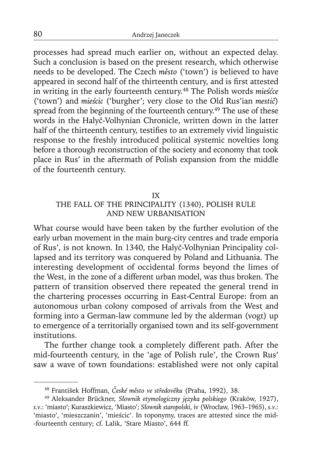processes had spread much earlier on, without an expected delay. Such a conclusion is based on the present research, which otherwise needs to be developed. The Czech *město* ('town') is believed to have appeared in second half of the thirteenth century, and is first attested in writing in the early fourteenth century.48 The Polish words *mieśćce*  ('town') and *mieścic* ('burgher'; very close to the Old Rus'ian *mestič*) spread from the beginning of the fourteenth century.<sup>49</sup> The use of these words in the Halyč-Volhynian Chronicle, written down in the latter half of the thirteenth century, testifies to an extremely vivid linguistic response to the freshly introduced political systemic novelties long before a thorough reconstruction of the society and economy that took place in Rus' in the aftermath of Polish expansion from the middle of the fourteenth century.

#### IX

# THE FALL OF THE PRINCIPALITY (1340), POLISH RULE AND NEW URBANISATION

What course would have been taken by the further evolution of the early urban movement in the main burg-city centres and trade emporia of Rus', is not known. In 1340, the Halyč-Volhynian Principality collapsed and its territory was conquered by Poland and Lithuania. The interesting development of occidental forms beyond the limes of the West, in the zone of a different urban model, was thus broken. The pattern of transition observed there repeated the general trend in the chartering processes occurring in East-Central Europe: from an autonomous urban colony composed of arrivals from the West and forming into a German-law commune led by the alderman (vogt) up to emergence of a territorially organised town and its self-government institutions.

The further change took a completely different path. After the mid-fourteenth century, in the 'age of Polish rule', the Crown Rus' saw a wave of town foundations: established were not only capital

<sup>48</sup> František Hoffman, *České město ve středověku* (Praha, 1992), 38.

<sup>49</sup> Aleksander Brückner, *Słownik etymologiczny języka polskiego* (Kraków, 1927), *s.v*.: 'miasto'; Kuraszkiewicz, 'Miasto'; *Słownik staropolski*, iv (Wrocław, 1963–1965), *s.v*.: 'miasto', 'mieszczanin', 'mieścic'. In toponymy, traces are attested since the mid- -fourteenth century; cf. Lalik, 'Stare Miasto', 644 ff.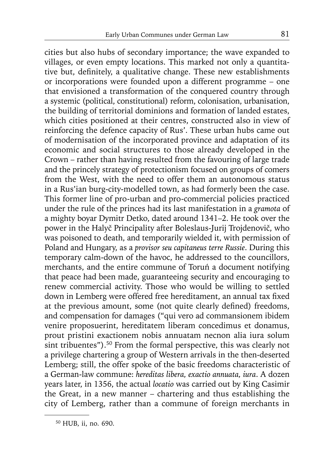cities but also hubs of secondary importance; the wave expanded to villages, or even empty locations. This marked not only a quantitative but, definitely, a qualitative change. These new establishments or incorporations were founded upon a different programme – one that envisioned a transformation of the conquered country through a systemic (political, constitutional) reform, colonisation, urbanisation, the building of territorial dominions and formation of landed estates, which cities positioned at their centres, constructed also in view of reinforcing the defence capacity of Rus'. These urban hubs came out of modernisation of the incorporated province and adaptation of its economic and social structures to those already developed in the Crown – rather than having resulted from the favouring of large trade and the princely strategy of protectionism focused on groups of comers from the West, with the need to offer them an autonomous status in a Rus'ian burg-city-modelled town, as had formerly been the case. This former line of pro-urban and pro-commercial policies practiced under the rule of the princes had its last manifestation in a *gramota* of a mighty boyar Dymitr Detko, dated around 1341–2. He took over the power in the Halyč Principality after Boleslaus-Jurij Trojdenovič, who was poisoned to death, and temporarily wielded it, with permission of Poland and Hungary, as a *provisor seu capitaneus terre Russie*. During this temporary calm-down of the havoc, he addressed to the councillors, merchants, and the entire commune of Toruń a document notifying that peace had been made, guaranteeing security and encouraging to renew commercial activity. Those who would be willing to settled down in Lemberg were offered free hereditament, an annual tax fixed at the previous amount, some (not quite clearly defined) freedoms, and compensation for damages ("qui vero ad commansionem ibidem venire proposuerint, hereditatem liberam concedimus et donamus, prout pristini exactionem nobis annuatam necnon alia iura solum sint tribuentes").<sup>50</sup> From the formal perspective, this was clearly not a privilege chartering a group of Western arrivals in the then-deserted Lemberg; still, the offer spoke of the basic freedoms characteristic of a German-law commune: *hereditas libera, exactio annuata, iura*. A dozen years later, in 1356, the actual *locatio* was carried out by King Casimir the Great, in a new manner – chartering and thus establishing the city of Lemberg, rather than a commune of foreign merchants in

<sup>50</sup> HUB, ii, no. 690.